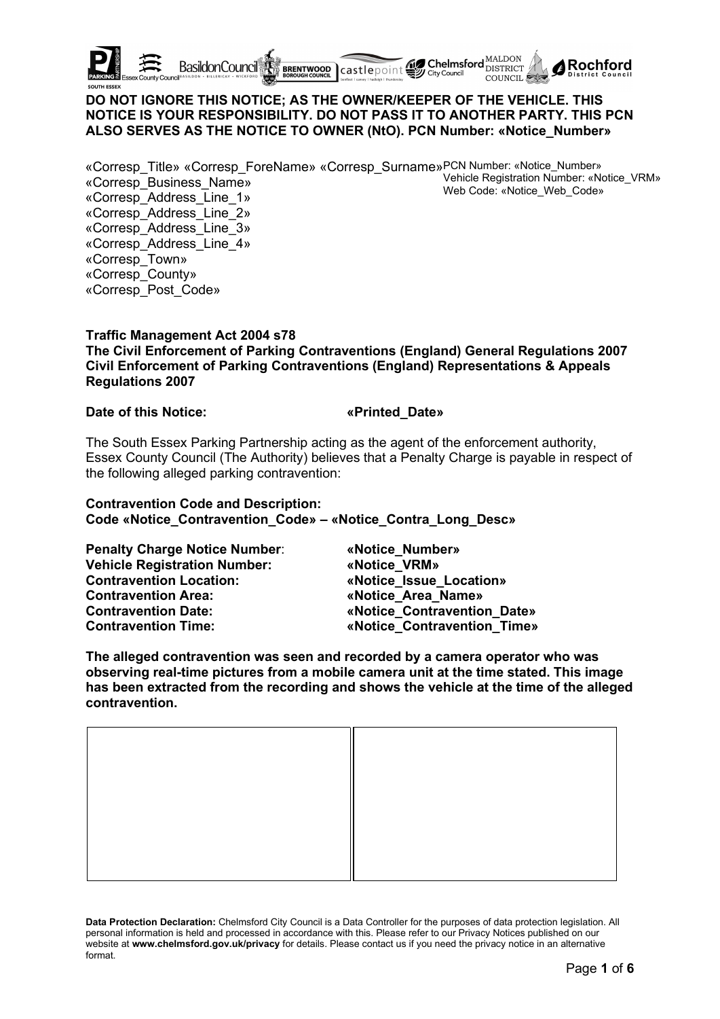

# **DO NOT IGNORE THIS NOTICE; AS THE OWNER/KEEPER OF THE VEHICLE. THIS NOTICE IS YOUR RESPONSIBILITY. DO NOT PASS IT TO ANOTHER PARTY. THIS PCN ALSO SERVES AS THE NOTICE TO OWNER (NtO). PCN Number: «Notice\_Number»**

«Corresp\_Title» «Corresp\_ForeName» «Corresp\_Surname»PCN Number: «Notice\_Number» Vehicle Registration Number: «Notice\_VRM» Web Code: «Notice\_Web\_Code» «Corresp\_Business\_Name» «Corresp\_Address\_Line\_1» «Corresp\_Address\_Line\_2» «Corresp\_Address\_Line\_3» «Corresp\_Address\_Line\_4» «Corresp\_Town» «Corresp\_County»

#### **Traffic Management Act 2004 s78**

**The Civil Enforcement of Parking Contraventions (England) General Regulations 2007 Civil Enforcement of Parking Contraventions (England) Representations & Appeals Regulations 2007**

#### **Date of this Notice: «Printed\_Date»**

«Corresp\_Post\_Code»

The South Essex Parking Partnership acting as the agent of the enforcement authority, Essex County Council (The Authority) believes that a Penalty Charge is payable in respect of the following alleged parking contravention:

# **Contravention Code and Description:**

**Code «Notice\_Contravention\_Code» – «Notice\_Contra\_Long\_Desc»**

**Penalty Charge Notice Number**: **«Notice\_Number» Vehicle Registration Number: «Notice\_VRM» Contravention Location: «Notice\_Issue\_Location» Contravention Area: «Notice\_Area\_Name» Contravention Date: «Notice\_Contravention\_Date» Contravention Time: «Notice\_Contravention\_Time»**

**The alleged contravention was seen and recorded by a camera operator who was observing real-time pictures from a mobile camera unit at the time stated. This image has been extracted from the recording and shows the vehicle at the time of the alleged contravention.**

**Data Protection Declaration:** Chelmsford City Council is a Data Controller for the purposes of data protection legislation. All personal information is held and processed in accordance with this. Please refer to our Privacy Notices published on our website at **www.chelmsford.gov.uk/privacy** for details. Please contact us if you need the privacy notice in an alternative format.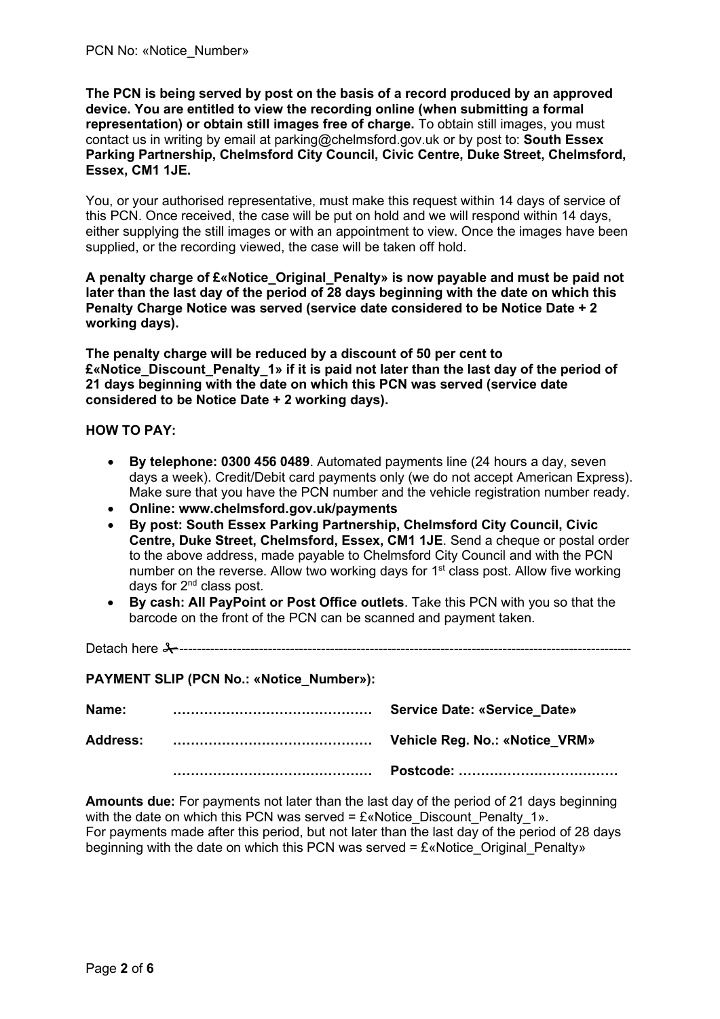**The PCN is being served by post on the basis of a record produced by an approved device. You are entitled to view the recording online (when submitting a formal representation) or obtain still images free of charge.** To obtain still images, you must contact us in writing by email at parking@chelmsford.gov.uk or by post to: **South Essex Parking Partnership, Chelmsford City Council, Civic Centre, Duke Street, Chelmsford, Essex, CM1 1JE.** 

You, or your authorised representative, must make this request within 14 days of service of this PCN. Once received, the case will be put on hold and we will respond within 14 days, either supplying the still images or with an appointment to view. Once the images have been supplied, or the recording viewed, the case will be taken off hold.

**A penalty charge of £«Notice\_Original\_Penalty» is now payable and must be paid not later than the last day of the period of 28 days beginning with the date on which this Penalty Charge Notice was served (service date considered to be Notice Date + 2 working days).**

**The penalty charge will be reduced by a discount of 50 per cent to £«Notice\_Discount\_Penalty\_1» if it is paid not later than the last day of the period of 21 days beginning with the date on which this PCN was served (service date considered to be Notice Date + 2 working days).**

### **HOW TO PAY:**

- **By telephone: 0300 456 0489**. Automated payments line (24 hours a day, seven days a week). Credit/Debit card payments only (we do not accept American Express). Make sure that you have the PCN number and the vehicle registration number ready.
- **Online: www.chelmsford.gov.uk/payments**
- **By post: South Essex Parking Partnership, Chelmsford City Council, Civic Centre, Duke Street, Chelmsford, Essex, CM1 1JE**. Send a cheque or postal order to the above address, made payable to Chelmsford City Council and with the PCN number on the reverse. Allow two working days for 1<sup>st</sup> class post. Allow five working days for 2<sup>nd</sup> class post.
- **By cash: All PayPoint or Post Office outlets**. Take this PCN with you so that the barcode on the front of the PCN can be scanned and payment taken.

Detach here ------------------------------------------------------------------------------------------------------

**PAYMENT SLIP (PCN No.: «Notice\_Number»):**

| Name:           | <b>Service Date: «Service Date»</b> |
|-----------------|-------------------------------------|
| <b>Address:</b> | Vehicle Reg. No.: «Notice_VRM»      |
|                 |                                     |

**Amounts due:** For payments not later than the last day of the period of 21 days beginning with the date on which this PCN was served =  $E$ «Notice Discount Penalty 1». For payments made after this period, but not later than the last day of the period of 28 days beginning with the date on which this PCN was served =  $E$ «Notice Original Penalty»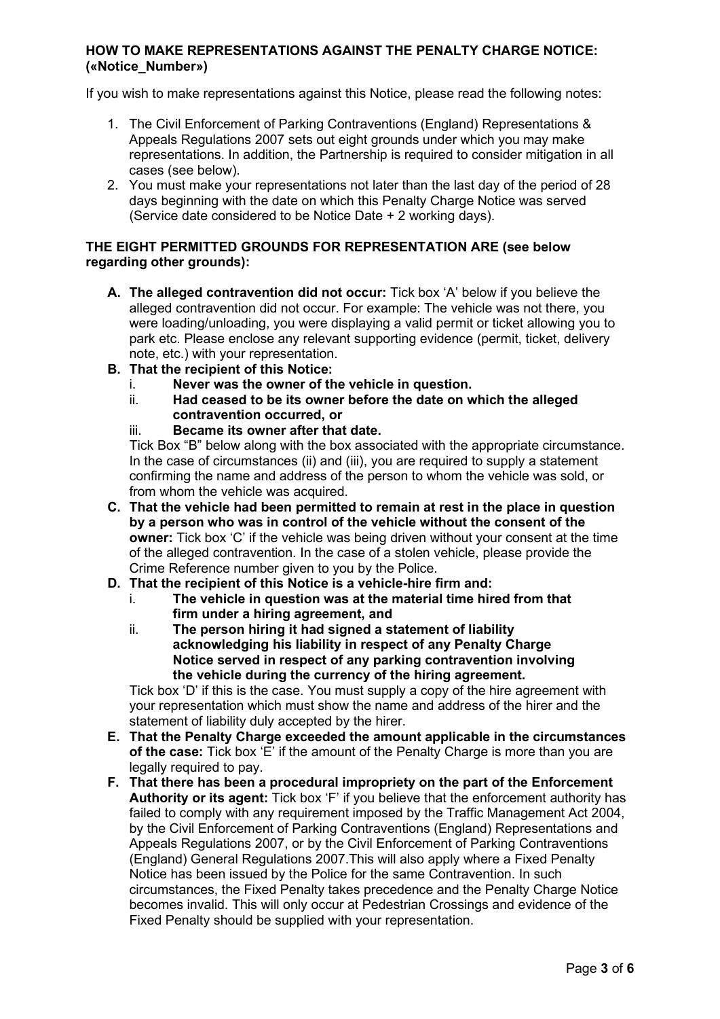#### **HOW TO MAKE REPRESENTATIONS AGAINST THE PENALTY CHARGE NOTICE: («Notice\_Number»)**

If you wish to make representations against this Notice, please read the following notes:

- 1. The Civil Enforcement of Parking Contraventions (England) Representations & Appeals Regulations 2007 sets out eight grounds under which you may make representations. In addition, the Partnership is required to consider mitigation in all cases (see below).
- 2. You must make your representations not later than the last day of the period of 28 days beginning with the date on which this Penalty Charge Notice was served (Service date considered to be Notice Date + 2 working days).

#### **THE EIGHT PERMITTED GROUNDS FOR REPRESENTATION ARE (see below regarding other grounds):**

- **A. The alleged contravention did not occur:** Tick box 'A' below if you believe the alleged contravention did not occur. For example: The vehicle was not there, you were loading/unloading, you were displaying a valid permit or ticket allowing you to park etc. Please enclose any relevant supporting evidence (permit, ticket, delivery note, etc.) with your representation.
- **B. That the recipient of this Notice:**
	- i. **Never was the owner of the vehicle in question.**
	- ii. **Had ceased to be its owner before the date on which the alleged contravention occurred, or**
	- iii. **Became its owner after that date.**

Tick Box "B" below along with the box associated with the appropriate circumstance. In the case of circumstances (ii) and (iii), you are required to supply a statement confirming the name and address of the person to whom the vehicle was sold, or from whom the vehicle was acquired.

- **C. That the vehicle had been permitted to remain at rest in the place in question by a person who was in control of the vehicle without the consent of the owner:** Tick box 'C' if the vehicle was being driven without your consent at the time of the alleged contravention. In the case of a stolen vehicle, please provide the Crime Reference number given to you by the Police.
- **D. That the recipient of this Notice is a vehicle-hire firm and:**
	- i. **The vehicle in question was at the material time hired from that firm under a hiring agreement, and**
	- ii. **The person hiring it had signed a statement of liability acknowledging his liability in respect of any Penalty Charge Notice served in respect of any parking contravention involving the vehicle during the currency of the hiring agreement.**

Tick box 'D' if this is the case. You must supply a copy of the hire agreement with your representation which must show the name and address of the hirer and the statement of liability duly accepted by the hirer.

- **E. That the Penalty Charge exceeded the amount applicable in the circumstances of the case:** Tick box 'E' if the amount of the Penalty Charge is more than you are legally required to pay.
- **F. That there has been a procedural impropriety on the part of the Enforcement Authority or its agent:** Tick box 'F' if you believe that the enforcement authority has failed to comply with any requirement imposed by the Traffic Management Act 2004, by the Civil Enforcement of Parking Contraventions (England) Representations and Appeals Regulations 2007, or by the Civil Enforcement of Parking Contraventions (England) General Regulations 2007.This will also apply where a Fixed Penalty Notice has been issued by the Police for the same Contravention. In such circumstances, the Fixed Penalty takes precedence and the Penalty Charge Notice becomes invalid. This will only occur at Pedestrian Crossings and evidence of the Fixed Penalty should be supplied with your representation.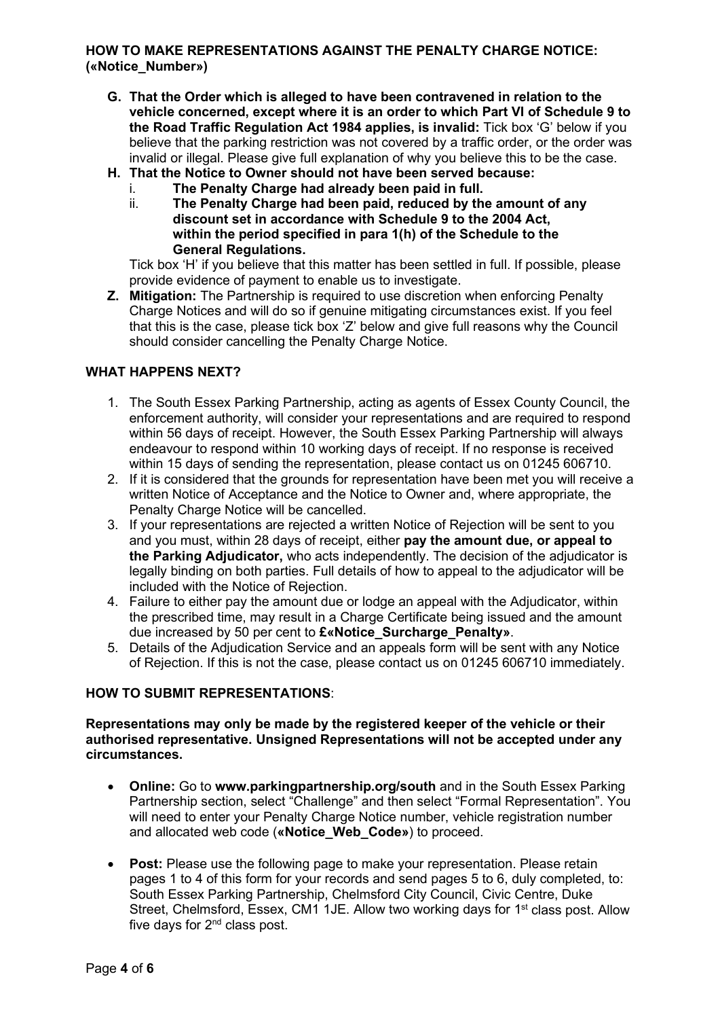### **HOW TO MAKE REPRESENTATIONS AGAINST THE PENALTY CHARGE NOTICE: («Notice\_Number»)**

- **G. That the Order which is alleged to have been contravened in relation to the vehicle concerned, except where it is an order to which Part VI of Schedule 9 to the Road Traffic Regulation Act 1984 applies, is invalid:** Tick box 'G' below if you believe that the parking restriction was not covered by a traffic order, or the order was invalid or illegal. Please give full explanation of why you believe this to be the case.
- **H. That the Notice to Owner should not have been served because:**
	- i. **The Penalty Charge had already been paid in full.**
	- ii. **The Penalty Charge had been paid, reduced by the amount of any discount set in accordance with Schedule 9 to the 2004 Act, within the period specified in para 1(h) of the Schedule to the General Regulations.**

Tick box 'H' if you believe that this matter has been settled in full. If possible, please provide evidence of payment to enable us to investigate.

**Z. Mitigation:** The Partnership is required to use discretion when enforcing Penalty Charge Notices and will do so if genuine mitigating circumstances exist. If you feel that this is the case, please tick box 'Z' below and give full reasons why the Council should consider cancelling the Penalty Charge Notice.

# **WHAT HAPPENS NEXT?**

- 1. The South Essex Parking Partnership, acting as agents of Essex County Council, the enforcement authority, will consider your representations and are required to respond within 56 days of receipt. However, the South Essex Parking Partnership will always endeavour to respond within 10 working days of receipt. If no response is received within 15 days of sending the representation, please contact us on 01245 606710.
- 2. If it is considered that the grounds for representation have been met you will receive a written Notice of Acceptance and the Notice to Owner and, where appropriate, the Penalty Charge Notice will be cancelled.
- 3. If your representations are rejected a written Notice of Rejection will be sent to you and you must, within 28 days of receipt, either **pay the amount due, or appeal to the Parking Adjudicator,** who acts independently. The decision of the adjudicator is legally binding on both parties. Full details of how to appeal to the adjudicator will be included with the Notice of Rejection.
- 4. Failure to either pay the amount due or lodge an appeal with the Adjudicator, within the prescribed time, may result in a Charge Certificate being issued and the amount due increased by 50 per cent to **£«Notice\_Surcharge\_Penalty»**.
- 5. Details of the Adjudication Service and an appeals form will be sent with any Notice of Rejection. If this is not the case, please contact us on 01245 606710 immediately.

#### **HOW TO SUBMIT REPRESENTATIONS**:

**Representations may only be made by the registered keeper of the vehicle or their authorised representative. Unsigned Representations will not be accepted under any circumstances.**

- **Online:** Go to **www.parkingpartnership.org/south** and in the South Essex Parking Partnership section, select "Challenge" and then select "Formal Representation". You will need to enter your Penalty Charge Notice number, vehicle registration number and allocated web code (**«Notice\_Web\_Code»**) to proceed.
- **Post:** Please use the following page to make your representation. Please retain pages 1 to 4 of this form for your records and send pages 5 to 6, duly completed, to: South Essex Parking Partnership, Chelmsford City Council, Civic Centre, Duke Street, Chelmsford, Essex, CM1 1JE, Allow two working days for 1<sup>st</sup> class post. Allow five days for  $2<sup>nd</sup>$  class post.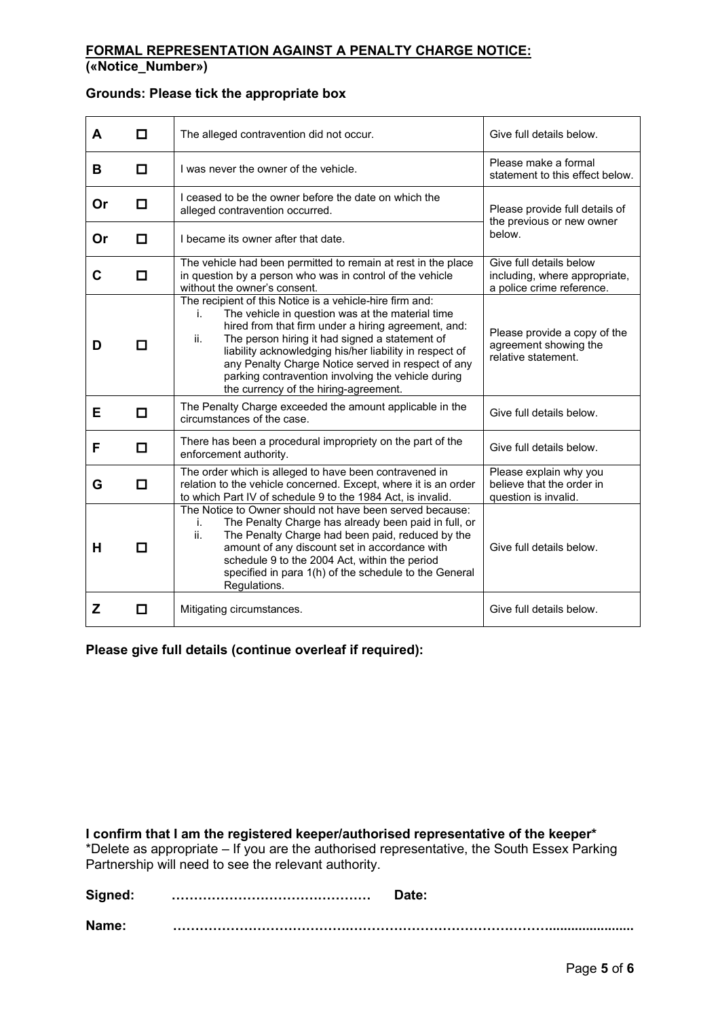# **FORMAL REPRESENTATION AGAINST A PENALTY CHARGE NOTICE:**

**(«Notice\_Number»)**

# **Grounds: Please tick the appropriate box**

| A  | П      | The alleged contravention did not occur.                                                                                                                                                                                                                                                                                                                                                                                                           | Give full details below.                                                              |
|----|--------|----------------------------------------------------------------------------------------------------------------------------------------------------------------------------------------------------------------------------------------------------------------------------------------------------------------------------------------------------------------------------------------------------------------------------------------------------|---------------------------------------------------------------------------------------|
| в  | O      | I was never the owner of the vehicle.                                                                                                                                                                                                                                                                                                                                                                                                              | Please make a formal<br>statement to this effect below.                               |
| Or | П      | I ceased to be the owner before the date on which the<br>alleged contravention occurred.                                                                                                                                                                                                                                                                                                                                                           | Please provide full details of<br>the previous or new owner                           |
| Or | П      | I became its owner after that date.                                                                                                                                                                                                                                                                                                                                                                                                                | below.                                                                                |
| C  | П      | The vehicle had been permitted to remain at rest in the place<br>in question by a person who was in control of the vehicle<br>without the owner's consent.                                                                                                                                                                                                                                                                                         | Give full details below<br>including, where appropriate,<br>a police crime reference. |
| D  | П      | The recipient of this Notice is a vehicle-hire firm and:<br>The vehicle in question was at the material time<br>İ.<br>hired from that firm under a hiring agreement, and:<br>ii.<br>The person hiring it had signed a statement of<br>liability acknowledging his/her liability in respect of<br>any Penalty Charge Notice served in respect of any<br>parking contravention involving the vehicle during<br>the currency of the hiring-agreement. | Please provide a copy of the<br>agreement showing the<br>relative statement.          |
| Е  | O      | The Penalty Charge exceeded the amount applicable in the<br>circumstances of the case.                                                                                                                                                                                                                                                                                                                                                             | Give full details below.                                                              |
| F  | $\Box$ | There has been a procedural impropriety on the part of the<br>enforcement authority.                                                                                                                                                                                                                                                                                                                                                               | Give full details below.                                                              |
| G  | П      | The order which is alleged to have been contravened in<br>relation to the vehicle concerned. Except, where it is an order<br>to which Part IV of schedule 9 to the 1984 Act, is invalid.                                                                                                                                                                                                                                                           | Please explain why you<br>believe that the order in<br>question is invalid.           |
| н  | П      | The Notice to Owner should not have been served because:<br>j.<br>The Penalty Charge has already been paid in full, or<br>ii.<br>The Penalty Charge had been paid, reduced by the<br>amount of any discount set in accordance with<br>schedule 9 to the 2004 Act, within the period<br>specified in para 1(h) of the schedule to the General<br>Regulations.                                                                                       | Give full details below.                                                              |
| z  | П      | Mitigating circumstances.                                                                                                                                                                                                                                                                                                                                                                                                                          | Give full details below.                                                              |

**Please give full details (continue overleaf if required):**

**I confirm that I am the registered keeper/authorised representative of the keeper\***

\*Delete as appropriate – If you are the authorised representative, the South Essex Parking Partnership will need to see the relevant authority.

**Signed: ……………………………………… Date:**

**Name: ………………………………….……………………………………….......................**